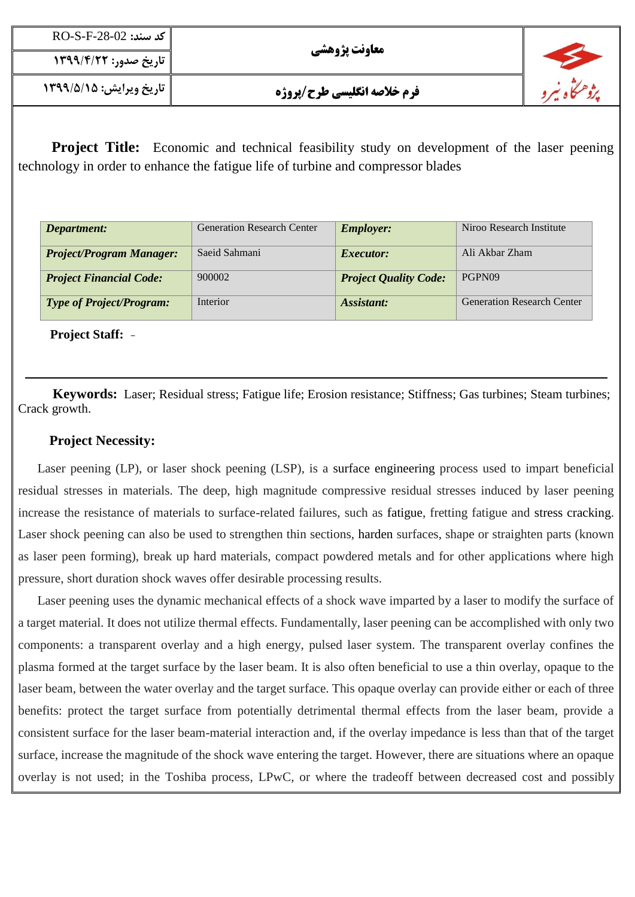| $\overline{RO}$ -S-F-28-02 كد سند: | معاونت پژوهشی                      |  |
|------------------------------------|------------------------------------|--|
| تاريخ صدور: ۱۳۹۹/۴/۲۲              |                                    |  |
| تاريخ ويرايش: ١٣٩٩/۵/١٥            | <b>فرم خلاصه انگلیسی طرح/پروژه</b> |  |

**Project Title:** Economic and technical feasibility study on development of the laser peening technology in order to enhance the fatigue life of turbine and compressor blades

| Department:                     | <b>Generation Research Center</b> | <b>Employer:</b>             | Niroo Research Institute          |
|---------------------------------|-----------------------------------|------------------------------|-----------------------------------|
| <b>Project/Program Manager:</b> | Saeid Sahmani                     | <i>Executor:</i>             | Ali Akbar Zham                    |
| <b>Project Financial Code:</b>  | 900002                            | <b>Project Quality Code:</b> | PGPN09                            |
| <b>Type of Project/Program:</b> | Interior                          | Assistant:                   | <b>Generation Research Center</b> |

**Project Staff:** *-*

**Keywords:** Laser; Residual stress; Fatigue life; Erosion resistance; Stiffness; Gas turbines; Steam turbines; Crack growth.

# **Project Necessity:**

 Laser peening (LP), or laser shock peening (LSP), is a surface engineering process used to impart beneficial residual stresses in materials. The deep, high magnitude compressive residual stresses induced by laser peening increase the resistance of materials to surface-related failures, such as fatigue, fretting fatigue and stress cracking. Laser shock peening can also be used to strengthen thin sections, harden surfaces, shape or straighten parts (known as laser peen forming), break up hard materials, compact powdered metals and for other applications where high pressure, short duration shock waves offer desirable processing results.

 Laser peening uses the dynamic mechanical effects of a shock wave imparted by a laser to modify the surface of a target material. It does not utilize thermal effects. Fundamentally, laser peening can be accomplished with only two components: a transparent overlay and a high energy, pulsed laser system. The transparent overlay confines the plasma formed at the target surface by the laser beam. It is also often beneficial to use a thin overlay, opaque to the laser beam, between the water overlay and the target surface. This opaque overlay can provide either or each of three benefits: protect the target surface from potentially detrimental thermal effects from the laser beam, provide a consistent surface for the laser beam-material interaction and, if the overlay impedance is less than that of the target surface, increase the magnitude of the shock wave entering the target. However, there are situations where an opaque overlay is not used; in the Toshiba process, LPwC, or where the tradeoff between decreased cost and possibly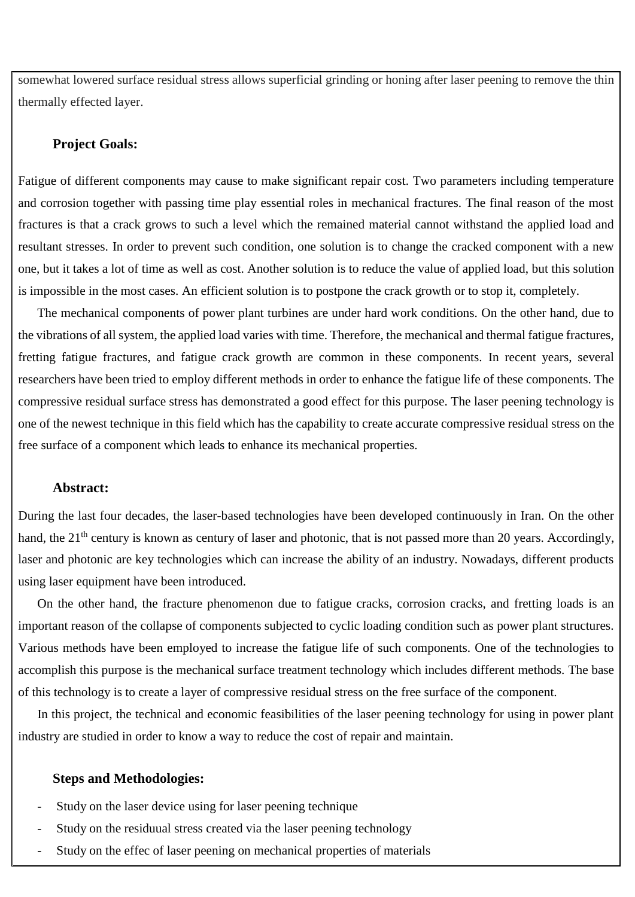somewhat lowered surface residual stress allows superficial grinding or honing after laser peening to remove the thin thermally effected layer.

#### **Project Goals:**

Fatigue of different components may cause to make significant repair cost. Two parameters including temperature and corrosion together with passing time play essential roles in mechanical fractures. The final reason of the most fractures is that a crack grows to such a level which the remained material cannot withstand the applied load and resultant stresses. In order to prevent such condition, one solution is to change the cracked component with a new one, but it takes a lot of time as well as cost. Another solution is to reduce the value of applied load, but this solution is impossible in the most cases. An efficient solution is to postpone the crack growth or to stop it, completely.

 The mechanical components of power plant turbines are under hard work conditions. On the other hand, due to the vibrations of all system, the applied load varies with time. Therefore, the mechanical and thermal fatigue fractures, fretting fatigue fractures, and fatigue crack growth are common in these components. In recent years, several researchers have been tried to employ different methods in order to enhance the fatigue life of these components. The compressive residual surface stress has demonstrated a good effect for this purpose. The laser peening technology is one of the newest technique in this field which has the capability to create accurate compressive residual stress on the free surface of a component which leads to enhance its mechanical properties.

### **Abstract:**

During the last four decades, the laser-based technologies have been developed continuously in Iran. On the other hand, the 21<sup>th</sup> century is known as century of laser and photonic, that is not passed more than 20 years. Accordingly, laser and photonic are key technologies which can increase the ability of an industry. Nowadays, different products using laser equipment have been introduced.

 On the other hand, the fracture phenomenon due to fatigue cracks, corrosion cracks, and fretting loads is an important reason of the collapse of components subjected to cyclic loading condition such as power plant structures. Various methods have been employed to increase the fatigue life of such components. One of the technologies to accomplish this purpose is the mechanical surface treatment technology which includes different methods. The base of this technology is to create a layer of compressive residual stress on the free surface of the component.

 In this project, the technical and economic feasibilities of the laser peening technology for using in power plant industry are studied in order to know a way to reduce the cost of repair and maintain.

### **Steps and Methodologies:**

- Study on the laser device using for laser peening technique
- Study on the residuual stress created via the laser peening technology
- Study on the effec of laser peening on mechanical properties of materials